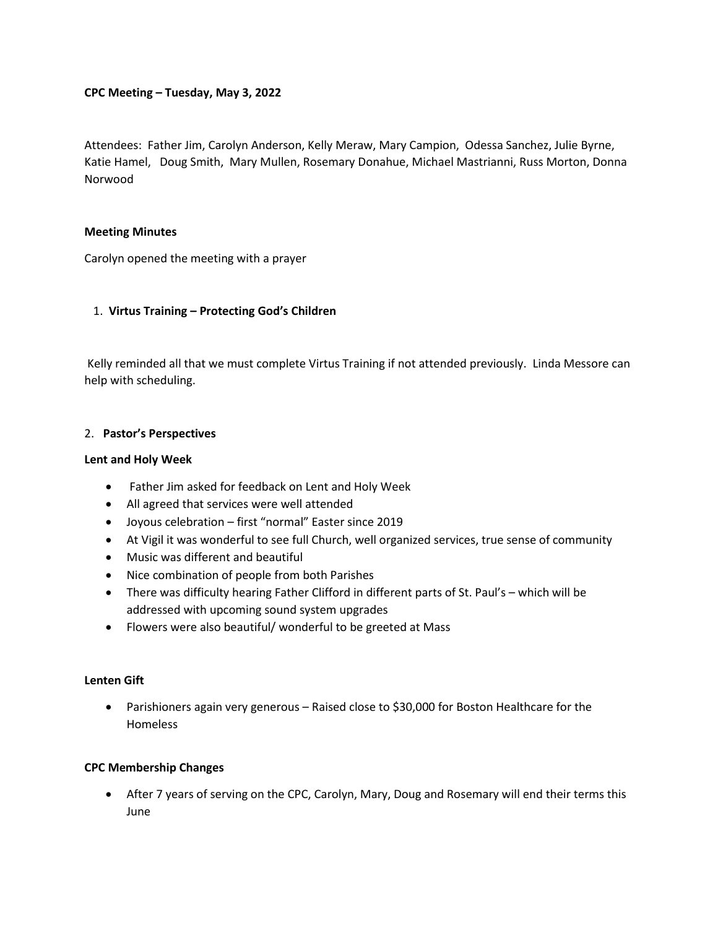## **CPC Meeting – Tuesday, May 3, 2022**

Attendees: Father Jim, Carolyn Anderson, Kelly Meraw, Mary Campion, Odessa Sanchez, Julie Byrne, Katie Hamel, Doug Smith, Mary Mullen, Rosemary Donahue, Michael Mastrianni, Russ Morton, Donna Norwood

#### **Meeting Minutes**

Carolyn opened the meeting with a prayer

## 1. **Virtus Training – Protecting God's Children**

Kelly reminded all that we must complete Virtus Training if not attended previously. Linda Messore can help with scheduling.

#### 2. **Pastor's Perspectives**

#### **Lent and Holy Week**

- Father Jim asked for feedback on Lent and Holy Week
- All agreed that services were well attended
- Joyous celebration first "normal" Easter since 2019
- At Vigil it was wonderful to see full Church, well organized services, true sense of community
- Music was different and beautiful
- Nice combination of people from both Parishes
- There was difficulty hearing Father Clifford in different parts of St. Paul's which will be addressed with upcoming sound system upgrades
- Flowers were also beautiful/ wonderful to be greeted at Mass

#### **Lenten Gift**

• Parishioners again very generous – Raised close to \$30,000 for Boston Healthcare for the Homeless

## **CPC Membership Changes**

• After 7 years of serving on the CPC, Carolyn, Mary, Doug and Rosemary will end their terms this June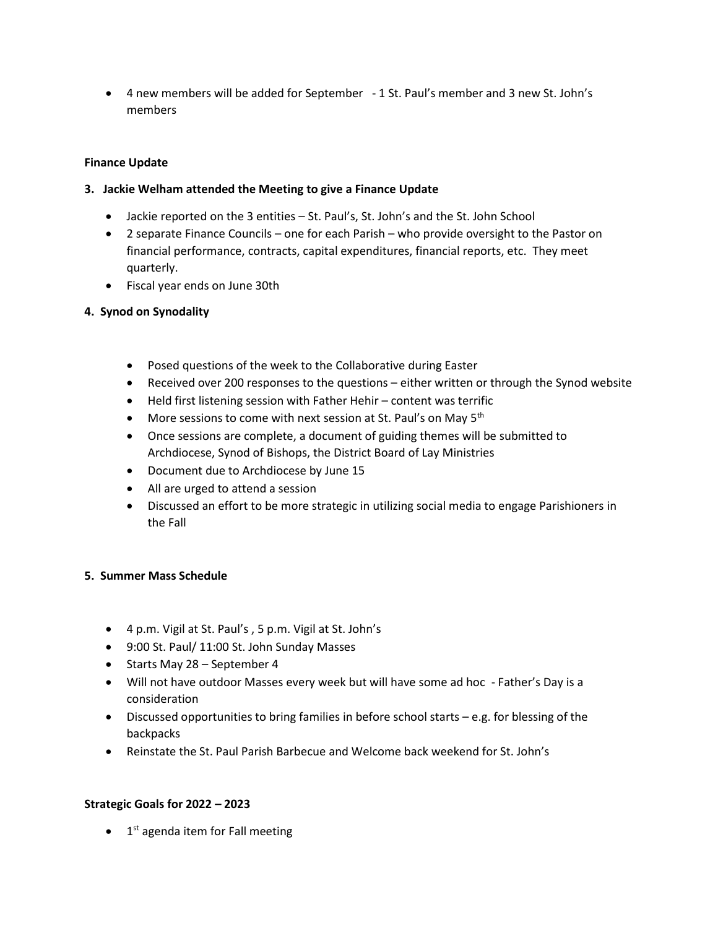• 4 new members will be added for September - 1 St. Paul's member and 3 new St. John's members

# **Finance Update**

# **3. Jackie Welham attended the Meeting to give a Finance Update**

- Jackie reported on the 3 entities St. Paul's, St. John's and the St. John School
- 2 separate Finance Councils one for each Parish who provide oversight to the Pastor on financial performance, contracts, capital expenditures, financial reports, etc. They meet quarterly.
- Fiscal year ends on June 30th

# **4. Synod on Synodality**

- Posed questions of the week to the Collaborative during Easter
- Received over 200 responses to the questions either written or through the Synod website
- Held first listening session with Father Hehir content was terrific
- More sessions to come with next session at St. Paul's on May  $5<sup>th</sup>$
- Once sessions are complete, a document of guiding themes will be submitted to Archdiocese, Synod of Bishops, the District Board of Lay Ministries
- Document due to Archdiocese by June 15
- All are urged to attend a session
- Discussed an effort to be more strategic in utilizing social media to engage Parishioners in the Fall

## **5. Summer Mass Schedule**

- 4 p.m. Vigil at St. Paul's , 5 p.m. Vigil at St. John's
- 9:00 St. Paul/ 11:00 St. John Sunday Masses
- Starts May 28 September 4
- Will not have outdoor Masses every week but will have some ad hoc Father's Day is a consideration
- Discussed opportunities to bring families in before school starts e.g. for blessing of the backpacks
- Reinstate the St. Paul Parish Barbecue and Welcome back weekend for St. John's

## **Strategic Goals for 2022 – 2023**

• 1<sup>st</sup> agenda item for Fall meeting